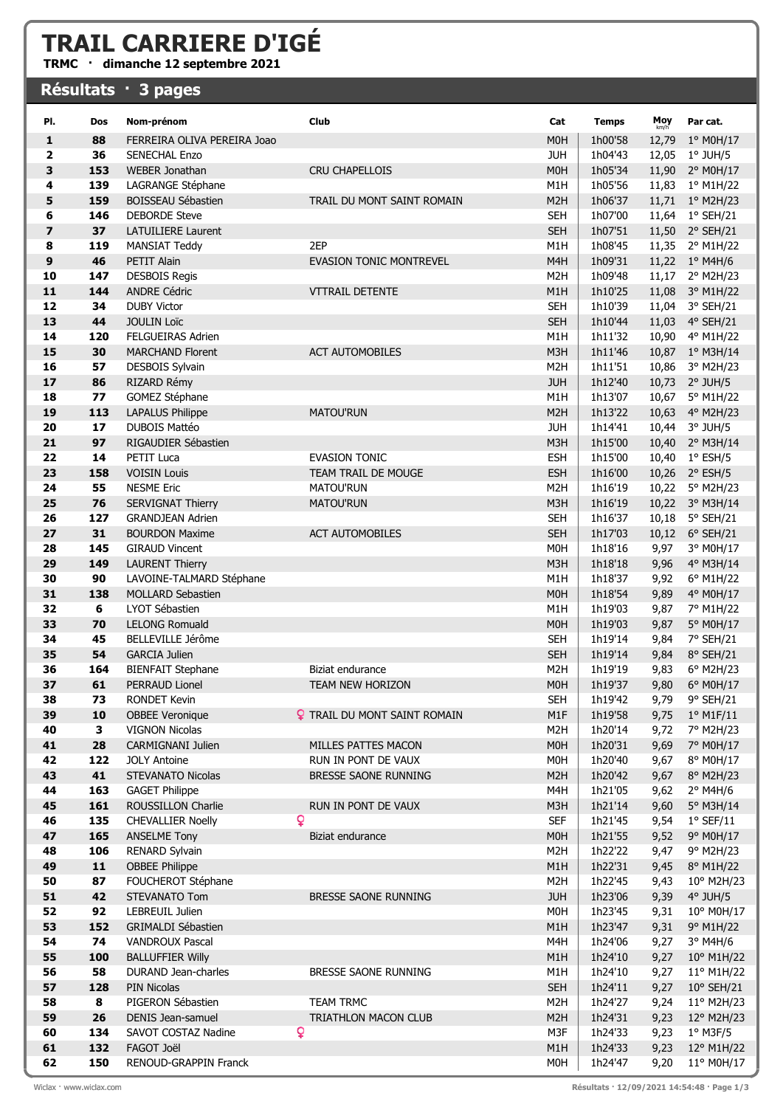## TRAIL CARRIERE D'IGÉ

TRMC · dimanche 12 septembre 2021

## Résultats · 3 pages

| PI.                     | Dos        | Nom-prénom                                          | Club                                        | Cat                            | <b>Temps</b>       | Moy<br>km/h    | Par cat.                       |
|-------------------------|------------|-----------------------------------------------------|---------------------------------------------|--------------------------------|--------------------|----------------|--------------------------------|
| 1                       | 88         | FERREIRA OLIVA PEREIRA Joao                         |                                             | M <sub>0</sub> H               | 1h00'58            | 12,79          | 1° M0H/17                      |
| 2                       | 36         | <b>SENECHAL Enzo</b>                                |                                             | <b>JUH</b>                     | 1h04'43            | 12,05          | $1°$ JUH/5                     |
| 3                       | 153        | <b>WEBER Jonathan</b>                               | <b>CRU CHAPELLOIS</b>                       | M <sub>OH</sub>                | 1h05'34            | 11,90          | 2° M0H/17                      |
| 4                       | 139        | LAGRANGE Stéphane                                   |                                             | M <sub>1</sub> H               | 1h05'56            | 11,83          | 1° M1H/22                      |
| 5                       | 159        | BOISSEAU Sébastien                                  | TRAIL DU MONT SAINT ROMAIN                  | M <sub>2</sub> H               | 1h06'37            | 11,71          | $1^{\circ}$ M2H/23             |
| 6                       | 146        | <b>DEBORDE Steve</b>                                |                                             | <b>SEH</b>                     | 1h07'00            | 11,64          | $1^{\circ}$ SEH/21             |
| $\overline{\mathbf{z}}$ | 37         | <b>LATUILIERE Laurent</b>                           |                                             | <b>SEH</b>                     | 1h07'51            |                | 11,50 2° SEH/21                |
| 8                       | 119        | <b>MANSIAT Teddy</b>                                | 2EP                                         | M1H                            | 1h08'45            |                | 11,35 2° M1H/22                |
| 9                       | 46         | <b>PETIT Alain</b>                                  | <b>EVASION TONIC MONTREVEL</b>              | M <sub>4</sub> H               | 1h09'31            |                | 11,22 1° M4H/6                 |
| 10                      | 147        | <b>DESBOIS Regis</b>                                |                                             | M <sub>2</sub> H               | 1h09'48            | 11,17          | 2° M2H/23                      |
| 11                      | 144        | <b>ANDRE Cédric</b>                                 | <b>VTTRAIL DETENTE</b>                      | M1H                            | 1h10'25            | 11,08          | 3° M1H/22                      |
| 12                      | 34         | <b>DUBY Victor</b>                                  |                                             | <b>SEH</b>                     | 1h10'39            | 11,04          | 3° SEH/21                      |
| 13                      | 44         | <b>JOULIN Loïc</b>                                  |                                             | <b>SEH</b>                     | 1h10'44            | 11,03          | $4^{\circ}$ SEH/21             |
| 14                      | 120        | <b>FELGUEIRAS Adrien</b>                            |                                             | M <sub>1</sub> H               | 1h11'32            | 10,90          | 4° M1H/22                      |
| 15                      | 30         | <b>MARCHAND Florent</b>                             | <b>ACT AUTOMOBILES</b>                      | M3H                            | 1h11'46            | 10,87          | $1^{\circ}$ M3H/14             |
| 16                      | 57         | <b>DESBOIS Sylvain</b>                              |                                             | M <sub>2</sub> H               | 1h11'51            | 10,86          | 3° M2H/23                      |
| 17                      | 86         | RIZARD Rémy                                         |                                             | <b>JUH</b>                     | 1h12'40            | 10,73          | $2^{\circ}$ JUH/5              |
| 18                      | 77         | GOMEZ Stéphane                                      |                                             | M1H                            | 1h13'07            | 10,67          | 5° M1H/22                      |
| 19                      | 113        | <b>LAPALUS Philippe</b>                             | <b>MATOU'RUN</b>                            | M <sub>2</sub> H               | 1h13'22            | 10,63          | 4° M2H/23                      |
| 20                      | 17         | <b>DUBOIS Mattéo</b>                                |                                             | <b>JUH</b>                     | 1h14'41            | 10,44          | 3° JUH/5                       |
| 21                      | 97         | RIGAUDIER Sébastien                                 |                                             | M3H                            | 1h15'00            | 10,40          | 2° M3H/14                      |
| 22                      | 14         | PETIT Luca                                          | <b>EVASION TONIC</b><br>TEAM TRAIL DE MOUGE | <b>ESH</b>                     | 1h15'00            | 10,40          | $1^{\circ}$ ESH/5              |
| 23<br>24                | 158<br>55  | <b>VOISIN Louis</b><br><b>NESME Eric</b>            | MATOU'RUN                                   | <b>ESH</b><br>M <sub>2</sub> H | 1h16'00<br>1h16'19 | 10,26<br>10,22 | $2^{\circ}$ ESH/5<br>5° M2H/23 |
| 25                      | 76         |                                                     | <b>MATOU'RUN</b>                            | M3H                            | 1h16'19            | 10,22          |                                |
| 26                      | 127        | <b>SERVIGNAT Thierry</b><br><b>GRANDJEAN Adrien</b> |                                             | <b>SEH</b>                     | 1h16'37            | 10,18          | 3° M3H/14<br>5° SEH/21         |
| 27                      | 31         | <b>BOURDON Maxime</b>                               | <b>ACT AUTOMOBILES</b>                      | <b>SEH</b>                     | 1h17'03            |                | 10,12 6° SEH/21                |
| 28                      | 145        | <b>GIRAUD Vincent</b>                               |                                             | M <sub>0</sub> H               | 1h18'16            | 9,97           | 3° M0H/17                      |
| 29                      | 149        | <b>LAURENT Thierry</b>                              |                                             | M3H                            | 1h18'18            | 9,96           | 4° M3H/14                      |
| 30                      | 90         | LAVOINE-TALMARD Stéphane                            |                                             | M1H                            | 1h18'37            | 9,92           | 6° M1H/22                      |
| 31                      | 138        | <b>MOLLARD Sebastien</b>                            |                                             | M <sub>OH</sub>                | 1h18'54            | 9,89           | 4° M0H/17                      |
| 32                      | 6          | LYOT Sébastien                                      |                                             | M1H                            | 1h19'03            | 9,87           | 7° M1H/22                      |
| 33                      | 70         | <b>LELONG Romuald</b>                               |                                             | M <sub>OH</sub>                | 1h19'03            | 9,87           | 5° M0H/17                      |
| 34                      | 45         | BELLEVILLE Jérôme                                   |                                             | <b>SEH</b>                     | 1h19'14            | 9,84           | 7° SEH/21                      |
| 35                      | 54         | <b>GARCIA Julien</b>                                |                                             | <b>SEH</b>                     | 1h19'14            | 9,84           | 8° SEH/21                      |
| 36                      | 164        | <b>BIENFAIT Stephane</b>                            | Biziat endurance                            | M <sub>2</sub> H               | 1h19'19            | 9,83           | 6° M2H/23                      |
| 37                      | 61         | <b>PERRAUD Lionel</b>                               | <b>TEAM NEW HORIZON</b>                     | M <sub>0</sub> H               | 1h19'37            | 9,80           | 6° M0H/17                      |
| 38                      | 73         | <b>RONDET Kevin</b>                                 |                                             | <b>SEH</b>                     | 1h19'42            |                | 9,79 9° SEH/21                 |
| 39                      | 10         | <b>OBBEE Veronique</b>                              | <b>?</b> TRAIL DU MONT SAINT ROMAIN         | M1F                            | 1h19'58            | 9,75           | $1°$ M1F/11                    |
| 40                      | 3          | <b>VIGNON Nicolas</b>                               |                                             | M <sub>2</sub> H               | 1h20'14            | 9,72           | 7° M2H/23                      |
| 41                      | 28         | <b>CARMIGNANI Julien</b>                            | MILLES PATTES MACON                         | <b>MOH</b>                     | 1h20'31            | 9,69           | 7° M0H/17                      |
| 42                      | 122        | <b>JOLY Antoine</b>                                 | RUN IN PONT DE VAUX                         | <b>MOH</b>                     | 1h20'40            | 9,67           | 8° M0H/17                      |
| 43                      | 41         | <b>STEVANATO Nicolas</b>                            | BRESSE SAONE RUNNING                        | M <sub>2</sub> H               | 1h20'42            | 9,67           | 8° M2H/23                      |
| 44                      | 163        | <b>GAGET Philippe</b>                               |                                             | M4H                            | 1h21'05            | 9,62           | $2^{\circ}$ M4H/6              |
| 45                      | 161        | ROUSSILLON Charlie                                  | RUN IN PONT DE VAUX<br>Q                    | M3H                            | 1h21'14            | 9,60           | 5° M3H/14                      |
| 46<br>47                | 135<br>165 | <b>CHEVALLIER Noelly</b><br><b>ANSELME Tony</b>     | Biziat endurance                            | <b>SEF</b><br><b>MOH</b>       | 1h21'45<br>1h21'55 | 9,54<br>9,52   | $1°$ SEF/11<br>9° M0H/17       |
| 48                      | 106        | RENARD Sylvain                                      |                                             | M <sub>2</sub> H               | 1h22'22            | 9,47           | 9° M2H/23                      |
| 49                      | $11$       | <b>OBBEE Philippe</b>                               |                                             | M1H                            | 1h22'31            | 9,45           | 8° M1H/22                      |
| 50                      | 87         | FOUCHEROT Stéphane                                  |                                             | M <sub>2</sub> H               | 1h22'45            | 9,43           | 10° M2H/23                     |
| 51                      | 42         | STEVANATO Tom                                       | BRESSE SAONE RUNNING                        | <b>JUH</b>                     | 1h23'06            | 9,39           | $4°$ JUH/5                     |
| 52                      | 92         | LEBREUIL Julien                                     |                                             | <b>MOH</b>                     | 1h23'45            | 9,31           | 10° M0H/17                     |
| 53                      | 152        | <b>GRIMALDI Sébastien</b>                           |                                             | M1H                            | 1h23'47            | 9,31           | 9° M1H/22                      |
| 54                      | 74         | <b>VANDROUX Pascal</b>                              |                                             | M4H                            | 1h24'06            | 9,27           | $3°$ M4H/6                     |
| 55                      | 100        | <b>BALLUFFIER Willy</b>                             |                                             | M1H                            | 1h24'10            | 9,27           | 10° M1H/22                     |
| 56                      | 58         | DURAND Jean-charles                                 | BRESSE SAONE RUNNING                        | M1H                            | 1h24'10            | 9,27           | 11° M1H/22                     |
| 57                      | 128        | <b>PIN Nicolas</b>                                  |                                             | <b>SEH</b>                     | 1h24'11            | 9,27           | $10^{\circ}$ SEH/21            |
| 58                      | 8          | PIGERON Sébastien                                   | <b>TEAM TRMC</b>                            | M <sub>2</sub> H               | 1h24'27            | 9,24           | $11^{\circ}$ M2H/23            |
| 59                      | 26         | DENIS Jean-samuel                                   | TRIATHLON MACON CLUB                        | M <sub>2</sub> H               | 1h24'31            | 9,23           | 12° M2H/23                     |
| 60                      | 134        | SAVOT COSTAZ Nadine                                 | Q                                           | M3F                            | 1h24'33            | 9,23           | $1°$ M3F/5                     |
| 61                      | 132        | FAGOT Joël                                          |                                             | M1H                            | 1h24'33            | 9,23           | 12° M1H/22                     |
| 62                      | 150        | RENOUD-GRAPPIN Franck                               |                                             | M <sub>0</sub> H               | 1h24'47            | 9,20           | 11° M0H/17                     |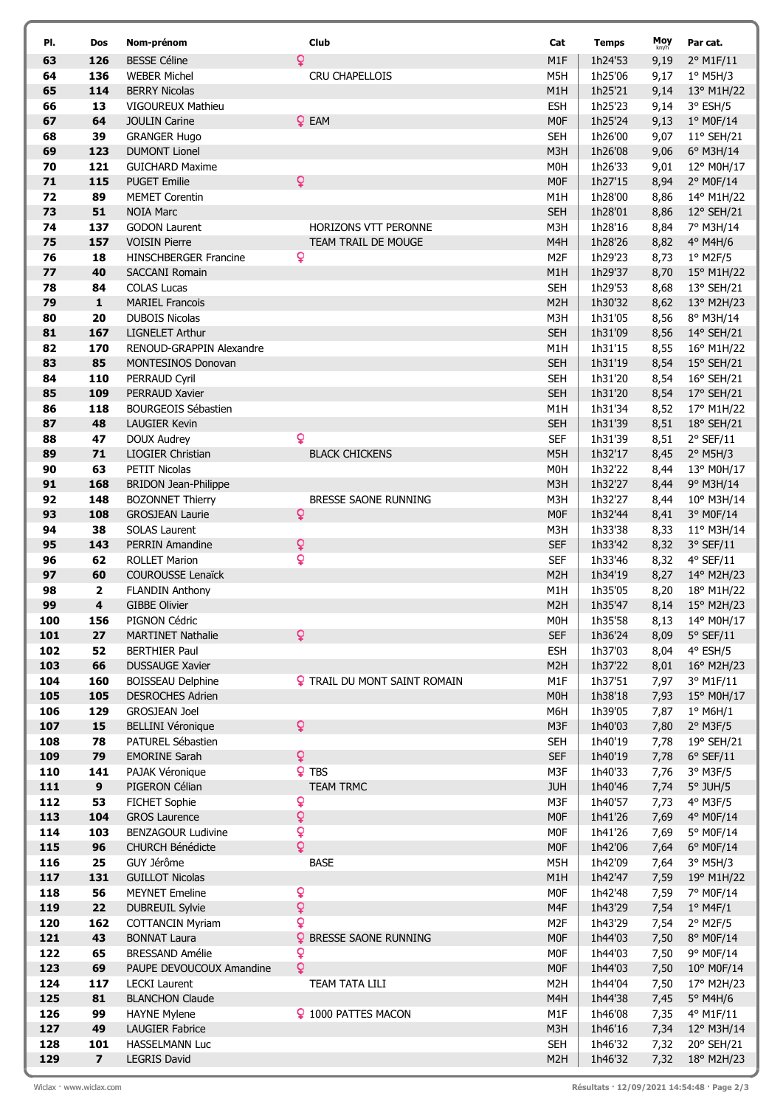| PI.        | Dos                     | Nom-prénom                                    |                | Club                                | Cat                      | <b>Temps</b>       | Moy<br>km/h  | Par cat.                          |
|------------|-------------------------|-----------------------------------------------|----------------|-------------------------------------|--------------------------|--------------------|--------------|-----------------------------------|
| 63         | 126                     | <b>BESSE Céline</b>                           | Q              |                                     | M1F                      | 1h24'53            | 9,19         | 2° M1F/11                         |
| 64         | 136                     | <b>WEBER Michel</b>                           |                | CRU CHAPELLOIS                      | M5H                      | 1h25'06            | 9,17         | $1°$ M5H/3                        |
| 65         | 114                     | <b>BERRY Nicolas</b>                          |                |                                     | M1H                      | 1h25'21            | 9,14         | 13° M1H/22                        |
| 66         | 13                      | VIGOUREUX Mathieu                             |                |                                     | <b>ESH</b>               | 1h25'23            | 9,14         | $3°$ ESH/5                        |
| 67         | 64                      | <b>JOULIN Carine</b>                          |                | $Q$ EAM                             | M <sub>0F</sub>          | 1h25'24            | 9,13         | 1° M0F/14                         |
| 68         | 39                      | <b>GRANGER Hugo</b>                           |                |                                     | <b>SEH</b>               | 1h26'00            | 9,07         | 11° SEH/21                        |
| 69         | 123                     | <b>DUMONT Lionel</b>                          |                |                                     | M3H                      | 1h26'08            | 9,06         | 6° M3H/14                         |
| 70         | 121                     | <b>GUICHARD Maxime</b>                        |                |                                     | M <sub>0</sub> H         | 1h26'33            | 9,01         | 12° M0H/17                        |
| 71         | 115                     | <b>PUGET Emilie</b>                           | $\mathsf{Q}$   |                                     | M <sub>0F</sub>          | 1h27'15            | 8,94         | 2° M0F/14                         |
| 72<br>73   | 89<br>51                | <b>MEMET Corentin</b><br><b>NOIA Marc</b>     |                |                                     | M1H<br><b>SEH</b>        | 1h28'00<br>1h28'01 | 8,86<br>8,86 | 14° M1H/22<br>12° SEH/21          |
| 74         | 137                     | <b>GODON Laurent</b>                          |                | HORIZONS VTT PERONNE                | M3H                      | 1h28'16            | 8,84         | 7° M3H/14                         |
| 75         | 157                     | <b>VOISIN Pierre</b>                          |                | TEAM TRAIL DE MOUGE                 | M <sub>4</sub> H         | 1h28'26            | 8,82         | 4° M4H/6                          |
| 76         | 18                      | <b>HINSCHBERGER Francine</b>                  | ò              |                                     | M <sub>2</sub> F         | 1h29'23            | 8,73         | $1°$ M2F/5                        |
| 77         | 40                      | <b>SACCANI Romain</b>                         |                |                                     | M1H                      | 1h29'37            | 8,70         | 15° M1H/22                        |
| 78         | 84                      | <b>COLAS Lucas</b>                            |                |                                     | <b>SEH</b>               | 1h29'53            | 8,68         | 13° SEH/21                        |
| 79         | $\mathbf{1}$            | <b>MARIEL Francois</b>                        |                |                                     | M <sub>2</sub> H         | 1h30'32            | 8,62         | 13° M2H/23                        |
| 80         | 20                      | <b>DUBOIS Nicolas</b>                         |                |                                     | M3H                      | 1h31'05            | 8,56         | 8° M3H/14                         |
| 81         | 167                     | <b>LIGNELET Arthur</b>                        |                |                                     | <b>SEH</b>               | 1h31'09            | 8,56         | 14° SEH/21                        |
| 82         | 170                     | RENOUD-GRAPPIN Alexandre                      |                |                                     | M1H                      | 1h31'15            | 8,55         | 16° M1H/22                        |
| 83         | 85                      | <b>MONTESINOS Donovan</b>                     |                |                                     | <b>SEH</b>               | 1h31'19            | 8,54         | 15° SEH/21                        |
| 84         | 110                     | PERRAUD Cyril                                 |                |                                     | <b>SEH</b>               | 1h31'20            | 8,54         | 16° SEH/21                        |
| 85         | 109                     | PERRAUD Xavier                                |                |                                     | <b>SEH</b>               | 1h31'20            | 8,54         | 17° SEH/21                        |
| 86<br>87   | 118<br>48               | <b>BOURGEOIS Sébastien</b>                    |                |                                     | M1H                      | 1h31'34            | 8,52         | 17° M1H/22                        |
| 88         | 47                      | LAUGIER Kevin<br>DOUX Audrey                  | Q              |                                     | <b>SEH</b><br><b>SEF</b> | 1h31'39<br>1h31'39 | 8,51<br>8,51 | 18° SEH/21<br>$2°$ SEF/11         |
| 89         | 71                      | LIOGIER Christian                             |                | <b>BLACK CHICKENS</b>               | M5H                      | 1h32'17            | 8,45         | $2°$ M5H/3                        |
| 90         | 63                      | PETIT Nicolas                                 |                |                                     | M <sub>OH</sub>          | 1h32'22            | 8,44         | 13° M0H/17                        |
| 91         | 168                     | <b>BRIDON Jean-Philippe</b>                   |                |                                     | M3H                      | 1h32'27            | 8,44         | 9° M3H/14                         |
| 92         | 148                     | <b>BOZONNET Thierry</b>                       |                | BRESSE SAONE RUNNING                | M3H                      | 1h32'27            | 8,44         | 10° M3H/14                        |
| 93         | 108                     | <b>GROSJEAN Laurie</b>                        | $\overline{Q}$ |                                     | M <sub>0F</sub>          | 1h32'44            | 8,41         | 3° M0F/14                         |
| 94         | 38                      | <b>SOLAS Laurent</b>                          |                |                                     | M3H                      | 1h33'38            | 8,33         | 11° M3H/14                        |
| 95         | 143                     | <b>PERRIN Amandine</b>                        | ¥              |                                     | <b>SEF</b>               | 1h33'42            | 8,32         | $3°$ SEF/11                       |
| 96         | 62                      | <b>ROLLET Marion</b>                          | $\overline{Q}$ |                                     | <b>SEF</b>               | 1h33'46            | 8,32         | $4°$ SEF/11                       |
| 97         | 60                      | <b>COUROUSSE Lenaïck</b>                      |                |                                     | M <sub>2</sub> H         | 1h34'19            | 8,27         | 14° M2H/23                        |
| 98         | $\overline{\mathbf{2}}$ | <b>FLANDIN Anthony</b>                        |                |                                     | M1H                      | 1h35'05            | 8,20         | 18° M1H/22                        |
| 99         | $\overline{\mathbf{4}}$ | <b>GIBBE Olivier</b>                          |                |                                     | M <sub>2</sub> H         | 1h35'47            | 8,14         | 15° M2H/23                        |
| 100<br>101 | 156<br>27               | PIGNON Cédric<br><b>MARTINET Nathalie</b>     | $\overline{Q}$ |                                     | M0H<br><b>SEF</b>        | 1h35'58<br>1h36'24 | 8,13         | 14° M0H/17<br>$5^{\circ}$ SEF/11  |
| 102        | 52                      | <b>BERTHIER Paul</b>                          |                |                                     | <b>ESH</b>               | 1h37'03            | 8,09<br>8,04 | 4° ESH/5                          |
| 103        | 66                      | <b>DUSSAUGE Xavier</b>                        |                |                                     | M <sub>2</sub> H         | 1h37'22            | 8,01         | 16° M2H/23                        |
| 104        | 160                     | <b>BOISSEAU Delphine</b>                      |                | <b>Q</b> TRAIL DU MONT SAINT ROMAIN | M1F                      | 1h37'51            | 7,97         | 3° M1F/11                         |
| 105        | 105                     | <b>DESROCHES Adrien</b>                       |                |                                     | M0H                      | 1h38'18            | 7,93         | 15° M0H/17                        |
| 106        | 129                     | <b>GROSJEAN Joel</b>                          |                |                                     | M6H                      | 1h39'05            | 7,87         | $1^{\circ}$ M6H/1                 |
| 107        | 15                      | <b>BELLINI Véronique</b>                      | $\mathsf{Q}$   |                                     | M3F                      | 1h40'03            | 7,80         | $2°$ M3F/5                        |
| 108        | 78                      | PATUREL Sébastien                             |                |                                     | <b>SEH</b>               | 1h40'19            | 7,78         | 19° SEH/21                        |
| 109        | 79                      | <b>EMORINE Sarah</b>                          | $\overline{Q}$ |                                     | <b>SEF</b>               | 1h40'19            | 7,78         | $6°$ SEF/11                       |
| 110        | 141                     | PAJAK Véronique                               |                | <b>Q</b> TBS                        | M3F                      | 1h40'33            | 7,76         | 3° M3F/5                          |
| 111        | $\boldsymbol{9}$        | PIGERON Célian                                |                | <b>TEAM TRMC</b>                    | <b>JUH</b>               | 1h40'46            | 7,74         | $5^\circ$ JUH/5                   |
| 112<br>113 | 53<br>104               | FICHET Sophie<br><b>GROS Laurence</b>         | Q<br>Q         |                                     | M3F<br>M <sub>0</sub> F  | 1h40'57<br>1h41'26 | 7,73<br>7,69 | 4° M3F/5<br>4° M0F/14             |
| 114        | 103                     | <b>BENZAGOUR Ludivine</b>                     | ò              |                                     | M <sub>0</sub> F         | 1h41'26            | 7,69         | 5° M0F/14                         |
| 115        | 96                      | <b>CHURCH Bénédicte</b>                       | $\overline{Q}$ |                                     | M <sub>0F</sub>          | 1h42'06            | 7,64         | 6° M0F/14                         |
| 116        | 25                      | GUY Jérôme                                    |                | BASE                                | M5H                      | 1h42'09            | 7,64         | 3° M5H/3                          |
| 117        | 131                     | <b>GUILLOT Nicolas</b>                        |                |                                     | M1H                      | 1h42'47            | 7,59         | 19° M1H/22                        |
| 118        | 56                      | <b>MEYNET Emeline</b>                         | Q              |                                     | M <sub>0F</sub>          | 1h42'48            | 7,59         | 7° M0F/14                         |
| 119        | 22                      | <b>DUBREUIL Sylvie</b>                        | $\mathsf{Q}$   |                                     | M4F                      | 1h43'29            | 7,54         | $1^{\circ}$ M4F/1                 |
| 120        | 162                     | <b>COTTANCIN Myriam</b>                       | Q              |                                     | M <sub>2</sub> F         | 1h43'29            | 7,54         | $2^{\circ}$ M2F/5                 |
| 121        | 43                      | <b>BONNAT Laura</b>                           |                | <b>9 BRESSE SAONE RUNNING</b>       | M <sub>0F</sub>          | 1h44'03            | 7,50         | 8° M0F/14                         |
| 122        | 65                      | <b>BRESSAND Amélie</b>                        | ò              |                                     | M0F                      | 1h44'03            | 7,50         | 9° M0F/14                         |
| 123        | 69                      | PAUPE DEVOUCOUX Amandine                      | $\overline{Q}$ |                                     | M <sub>0F</sub>          | 1h44'03            | 7,50         | 10° M0F/14                        |
| 124        | 117                     | <b>LECKI Laurent</b>                          |                | TEAM TATA LILI                      | M <sub>2</sub> H         | 1h44'04            | 7,50         | 17° M2H/23                        |
| 125        | 81                      | <b>BLANCHON Claude</b>                        |                |                                     | M4H                      | 1h44'38            | 7,45         | 5° M4H/6                          |
| 126<br>127 | 99<br>49                | <b>HAYNE Mylene</b><br><b>LAUGIER Fabrice</b> |                | 9 1000 PATTES MACON                 | M1F<br>M3H               | 1h46'08<br>1h46'16 | 7,35<br>7,34 | 4° M1F/11                         |
| 128        | 101                     | <b>HASSELMANN Luc</b>                         |                |                                     | <b>SEH</b>               | 1h46'32            | 7,32         | $12^{\circ}$ M3H/14<br>20° SEH/21 |
| 129        | $\overline{\mathbf{z}}$ | <b>LEGRIS David</b>                           |                |                                     | M <sub>2</sub> H         | 1h46'32            | 7,32         | 18° M2H/23                        |
|            |                         |                                               |                |                                     |                          |                    |              |                                   |